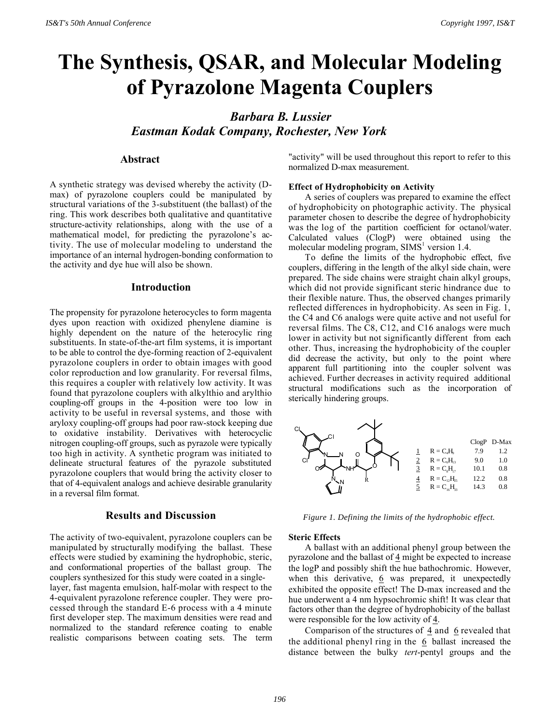# **The Synthesis, QSAR, and Molecular Modeling of Pyrazolone Magenta Couplers**

*Barbara B. Lussier Eastman Kodak Company, Rochester, New York*

#### **Abstract**

A synthetic strategy was devised whereby the activity (Dmax) of pyrazolone couplers could be manipulated by structural variations of the 3-substituent (the ballast) of the ring. This work describes both qualitative and quantitative structure-activity relationships, along with the use of a mathematical model, for predicting the pyrazolone's activity. The use of molecular modeling to understand the importance of an internal hydrogen-bonding conformation to the activity and dye hue will also be shown.

#### **Introduction**

The propensity for pyrazolone heterocycles to form magenta dyes upon reaction with oxidized phenylene diamine is highly dependent on the nature of the heterocylic ring substituents. In state-of-the-art film systems, it is important to be able to control the dye-forming reaction of 2-equivalent pyrazolone couplers in order to obtain images with good color reproduction and low granularity. For reversal films, this requires a coupler with relatively low activity. It was found that pyrazolone couplers with alkylthio and arylthio coupling-off groups in the 4-position were too low in activity to be useful in reversal systems, and those with aryloxy coupling-off groups had poor raw-stock keeping due to oxidative instability. Derivatives with heterocyclic nitrogen coupling-off groups, such as pyrazole were typically too high in activity. A synthetic program was initiated to delineate structural features of the pyrazole substituted pyrazolone couplers that would bring the activity closer to that of 4-equivalent analogs and achieve desirable granularity in a reversal film format.

## **Results and Discussion**

The activity of two-equivalent, pyrazolone couplers can be manipulated by structurally modifying the ballast. These effects were studied by examining the hydrophobic, steric, and conformational properties of the ballast group. The couplers synthesized for this study were coated in a singlelayer, fast magenta emulsion, half-molar with respect to the 4-equivalent pyrazolone reference coupler. They were processed through the standard E-6 process with a 4 minute first developer step. The maximum densities were read and normalized to the standard reference coating to enable realistic comparisons between coating sets. The term

"activity" will be used throughout this report to refer to this normalized D-max measurement.

#### **Effect of Hydrophobicity on Activity**

A series of couplers was prepared to examine the effect of hydrophobicity on photographic activity. The physical parameter chosen to describe the degree of hydrophobicity was the log of the partition coefficient for octanol/water. Calculated values (ClogP) were obtained using the molecular modeling program,  $SIMS<sup>1</sup>$  version 1.4.

To define the limits of the hydrophobic effect, five couplers, differing in the length of the alkyl side chain, were prepared. The side chains were straight chain alkyl groups, which did not provide significant steric hindrance due to their flexible nature. Thus, the observed changes primarily reflected differences in hydrophobicity. As seen in Fig. 1, the C4 and C6 analogs were quite active and not useful for reversal films. The C8, C12, and C16 analogs were much lower in activity but not significantly different from each other. Thus, increasing the hydrophobicity of the coupler did decrease the activity, but only to the point where apparent full partitioning into the coupler solvent was achieved. Further decreases in activity required additional structural modifications such as the incorporation of sterically hindering groups.



*Figure 1. Defining the limits of the hydrophobic effect.*

#### **Steric Effects**

A ballast with an additional phenyl group between the pyrazolone and the ballast of 4 might be expected to increase the logP and possibly shift the hue bathochromic. However, when this derivative,  $6$  was prepared, it unexpectedly exhibited the opposite effect! The D-max increased and the hue underwent a 4 nm hypsochromic shift! It was clear that factors other than the degree of hydrophobicity of the ballast were responsible for the low activity of 4.

Comparison of the structures of  $\frac{4}{9}$  and  $\frac{6}{9}$  revealed that the additional phenyl ring in the  $6$  ballast increased the distance between the bulky *tert*-pentyl groups and the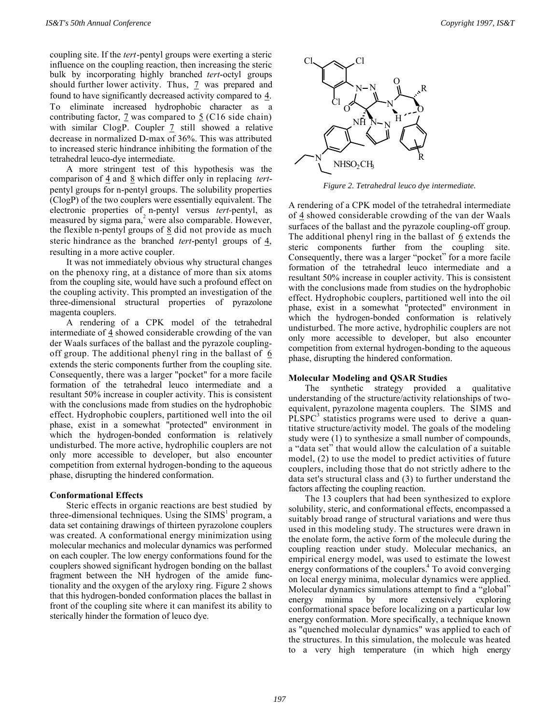coupling site. If the *tert*-pentyl groups were exerting a steric influence on the coupling reaction, then increasing the steric bulk by incorporating highly branched *tert*-octyl groups should further lower activity. Thus, 7 was prepared and found to have significantly decreased activity compared to  $\frac{4}{1}$ . To eliminate increased hydrophobic character as a contributing factor,  $\frac{7}{2}$  was compared to  $\frac{5}{2}$  (C16 side chain) with similar ClogP. Coupler  $\frac{7}{2}$  still showed a relative decrease in normalized D-max of 36%. This was attributed to increased steric hindrance inhibiting the formation of the tetrahedral leuco-dye intermediate.

A more stringent test of this hypothesis was the comparison of  $\frac{4}{9}$  and  $\frac{8}{9}$  which differ only in replacing *tert*pentyl groups for n-pentyl groups. The solubility properties (ClogP) of the two couplers were essentially equivalent. The electronic properties of n-pentyl versus *tert-*pentyl, as measured by sigma para,<sup>2</sup> were also comparable. However, the flexible n-pentyl groups of  $8$  did not provide as much steric hindrance as the branched *tert*-pentyl groups of  $\frac{4}{3}$ , resulting in a more active coupler.

It was not immediately obvious why structural changes on the phenoxy ring, at a distance of more than six atoms from the coupling site, would have such a profound effect on the coupling activity. This prompted an investigation of the three-dimensional structural properties of pyrazolone magenta couplers.

A rendering of a CPK model of the tetrahedral intermediate of 4 showed considerable crowding of the van der Waals surfaces of the ballast and the pyrazole couplingoff group. The additional phenyl ring in the ballast of  $6$ extends the steric components further from the coupling site. Consequently, there was a larger "pocket" for a more facile formation of the tetrahedral leuco intermediate and a resultant 50% increase in coupler activity. This is consistent with the conclusions made from studies on the hydrophobic effect. Hydrophobic couplers, partitioned well into the oil phase, exist in a somewhat "protected" environment in which the hydrogen-bonded conformation is relatively undisturbed. The more active, hydrophilic couplers are not only more accessible to developer, but also encounter competition from external hydrogen-bonding to the aqueous phase, disrupting the hindered conformation.

## **Conformational Effects**

Steric effects in organic reactions are best studied by three-dimensional techniques. Using the SIMS<sup>1</sup> program, a data set containing drawings of thirteen pyrazolone couplers was created. A conformational energy minimization using molecular mechanics and molecular dynamics was performed on each coupler. The low energy conformations found for the couplers showed significant hydrogen bonding on the ballast fragment between the NH hydrogen of the amide functionality and the oxygen of the aryloxy ring. Figure 2 shows that this hydrogen-bonded conformation places the ballast in front of the coupling site where it can manifest its ability to sterically hinder the formation of leuco dye.



*Figure 2. Tetrahedral leuco dye intermediate.*

A rendering of a CPK model of the tetrahedral intermediate of  $\frac{4}{3}$  showed considerable crowding of the van der Waals surfaces of the ballast and the pyrazole coupling-off group. The additional phenyl ring in the ballast of  $6$  extends the steric components further from the coupling site. Consequently, there was a larger "pocket" for a more facile formation of the tetrahedral leuco intermediate and a resultant 50% increase in coupler activity. This is consistent with the conclusions made from studies on the hydrophobic effect. Hydrophobic couplers, partitioned well into the oil phase, exist in a somewhat "protected" environment in which the hydrogen-bonded conformation is relatively undisturbed. The more active, hydrophilic couplers are not only more accessible to developer, but also encounter competition from external hydrogen-bonding to the aqueous phase, disrupting the hindered conformation.

## **Molecular Modeling and QSAR Studies**

The synthetic strategy provided a qualitative understanding of the structure/activity relationships of twoequivalent, pyrazolone magenta couplers. The SIMS and  $PLSPC<sup>3</sup>$  statistics programs were used to derive a quantitative structure/activity model. The goals of the modeling study were (1) to synthesize a small number of compounds, a "data set" that would allow the calculation of a suitable model, (2) to use the model to predict activities of future couplers, including those that do not strictly adhere to the data set's structural class and (3) to further understand the factors affecting the coupling reaction.

The 13 couplers that had been synthesized to explore solubility, steric, and conformational effects, encompassed a suitably broad range of structural variations and were thus used in this modeling study. The structures were drawn in the enolate form, the active form of the molecule during the coupling reaction under study. Molecular mechanics, an empirical energy model, was used to estimate the lowest energy conformations of the couplers.<sup>4</sup> To avoid converging on local energy minima, molecular dynamics were applied. Molecular dynamics simulations attempt to find a "global" energy minima by more extensively exploring conformational space before localizing on a particular low energy conformation. More specifically, a technique known as "quenched molecular dynamics" was applied to each of the structures. In this simulation, the molecule was heated to a very high temperature (in which high energy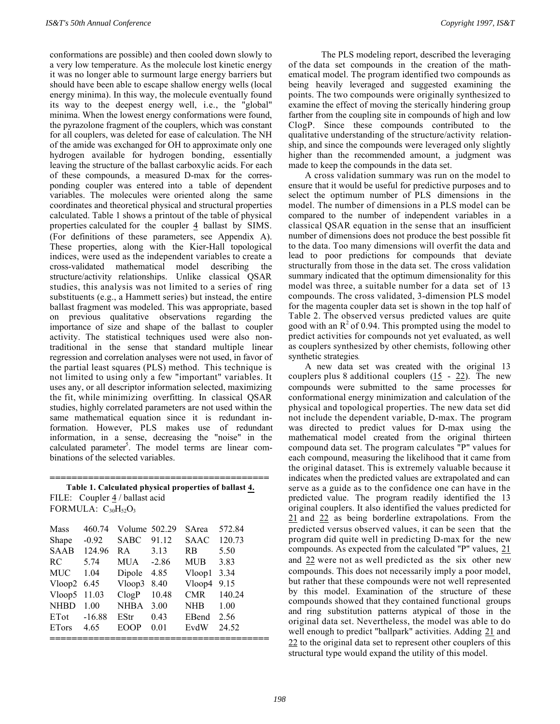conformations are possible) and then cooled down slowly to a very low temperature. As the molecule lost kinetic energy it was no longer able to surmount large energy barriers but should have been able to escape shallow energy wells (local energy minima). In this way, the molecule eventually found its way to the deepest energy well, i.e., the "global" minima. When the lowest energy conformations were found, the pyrazolone fragment of the couplers, which was constant for all couplers, was deleted for ease of calculation. The NH of the amide was exchanged for OH to approximate only one hydrogen available for hydrogen bonding, essentially leaving the structure of the ballast carboxylic acids. For each of these compounds, a measured D-max for the corresponding coupler was entered into a table of dependent variables. The molecules were oriented along the same coordinates and theoretical physical and structural properties calculated. Table 1 shows a printout of the table of physical properties calculated for the coupler  $\overline{4}$  ballast by SIMS. (For definitions of these parameters, see Appendix A). These properties, along with the Kier-Hall topological indices, were used as the independent variables to create a cross-validated mathematical model describing the structure/activity relationships. Unlike classical QSAR studies, this analysis was not limited to a series of ring substituents (e.g., a Hammett series) but instead, the entire ballast fragment was modeled. This was appropriate, based on previous qualitative observations regarding the importance of size and shape of the ballast to coupler activity. The statistical techniques used were also nontraditional in the sense that standard multiple linear regression and correlation analyses were not used, in favor of the partial least squares (PLS) method. This technique is not limited to using only a few "important" variables. It uses any, or all descriptor information selected, maximizing the fit, while minimizing overfitting. In classical QSAR studies, highly correlated parameters are not used within the same mathematical equation since it is redundant information. However, PLS makes use of redundant information, in a sense, decreasing the "noise" in the calculated parameter<sup>5</sup>. The model terms are linear combinations of the selected variables.

**======================================== Table 1. Calculated physical properties of ballast 4.** FILE: Coupler  $\frac{4}{1}$  ballast acid

FORMULA:  $C_{30}H_{52}O_3$ 

| <b>Mass</b><br>Shape<br><b>SAAB</b> | 460.74<br>$-0.92$<br>124.96 | Volume 502.29<br><b>SABC</b><br>RA. | 91.12<br>3.13 | SArea<br><b>SAAC</b><br><b>RB</b> | 572.84<br>120.73<br>5.50 |
|-------------------------------------|-----------------------------|-------------------------------------|---------------|-----------------------------------|--------------------------|
| RC.                                 | 5.74                        | MUA.                                | $-2.86$       | <b>MUB</b>                        | 3.83                     |
| <b>MUC</b>                          | 1.04                        | Dipole                              | 4.85          | Vloop1                            | 3.34                     |
|                                     | Vloop2 $6.45$               | Vloop3                              | 8.40          | Vloop4                            | 9.15                     |
| Vloop5                              | 11.03                       | ClogP                               | 10.48         | <b>CMR</b>                        | 140.24                   |
| <b>NHBD</b>                         | 1.00                        | <b>NHBA</b>                         | 3.00          | <b>NHB</b>                        | 1.00                     |
| ETot                                | $-16.88$                    | EStr                                | 0.43          | EBend                             | 2.56                     |
| <b>ET</b> ors                       | 4.65                        | <b>EOOP</b>                         | 0.01          | EvdW                              | 24.52                    |
|                                     |                             |                                     |               |                                   |                          |

The PLS modeling report, described the leveraging of the data set compounds in the creation of the mathematical model. The program identified two compounds as being heavily leveraged and suggested examining the points. The two compounds were originally synthesized to examine the effect of moving the sterically hindering group farther from the coupling site in compounds of high and low ClogP. Since these compounds contributed to the qualitative understanding of the structure/activity relationship, and since the compounds were leveraged only slightly higher than the recommended amount, a judgment was made to keep the compounds in the data set.

A cross validation summary was run on the model to ensure that it would be useful for predictive purposes and to select the optimum number of PLS dimensions in the model. The number of dimensions in a PLS model can be compared to the number of independent variables in a classical QSAR equation in the sense that an insufficient number of dimensions does not produce the best possible fit to the data. Too many dimensions will overfit the data and lead to poor predictions for compounds that deviate structurally from those in the data set. The cross validation summary indicated that the optimum dimensionality for this model was three, a suitable number for a data set of 13 compounds. The cross validated, 3-dimension PLS model for the magenta coupler data set is shown in the top half of Table 2. The observed versus predicted values are quite good with an  $R^2$  of 0.94. This prompted using the model to predict activities for compounds not yet evaluated, as well as couplers synthesized by other chemists, following other synthetic strategies.

A new data set was created with the original 13 couplers plus 8 additional couplers  $(15 - 22)$ . The new compounds were submitted to the same processes for conformational energy minimization and calculation of the physical and topological properties. The new data set did not include the dependent variable, D-max. The program was directed to predict values for D-max using the mathematical model created from the original thirteen compound data set. The program calculates "P" values for each compound, measuring the likelihood that it came from the original dataset. This is extremely valuable because it indicates when the predicted values are extrapolated and can serve as a guide as to the confidence one can have in the predicted value. The program readily identified the 13 original couplers. It also identified the values predicted for 21 and 22 as being borderline extrapolations. From the predicted versus observed values, it can be seen that the program did quite well in predicting D-max for the new compounds. As expected from the calculated "P" values, 21 and 22 were not as well predicted as the six other new compounds. This does not necessarily imply a poor model, but rather that these compounds were not well represented by this model. Examination of the structure of these compounds showed that they contained functional groups and ring substitution patterns atypical of those in the original data set. Nevertheless, the model was able to do well enough to predict "ballpark" activities. Adding 21 and 22 to the original data set to represent other couplers of this structural type would expand the utility of this model.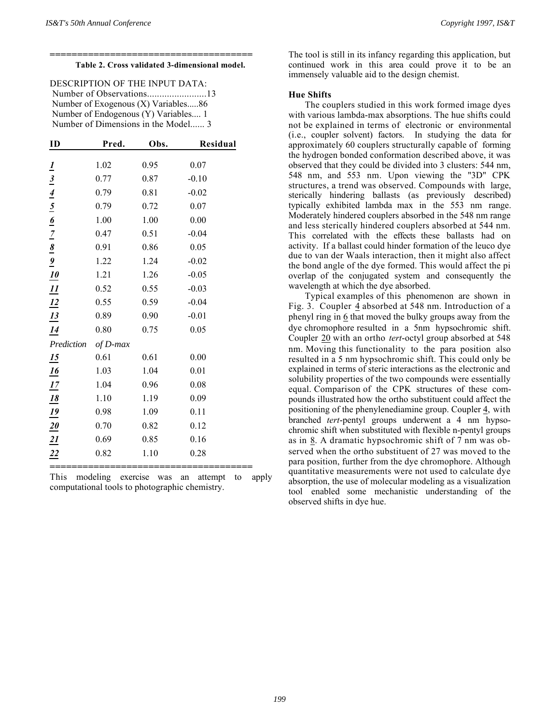#### **Table 2. Cross validated 3-dimensional model.**

**=====================================**

DESCRIPTION OF THE INPUT DATA: Number of Observations........................13 Number of Exogenous (X) Variables.....86 Number of Endogenous (Y) Variables.... 1 Number of Dimensions in the Model...... 3

| ID                                                                                                                 | Pred.    | Obs. | Residual |
|--------------------------------------------------------------------------------------------------------------------|----------|------|----------|
|                                                                                                                    |          |      |          |
|                                                                                                                    | 1.02     | 0.95 | 0.07     |
|                                                                                                                    | 0.77     | 0.87 | $-0.10$  |
|                                                                                                                    | 0.79     | 0.81 | $-0.02$  |
|                                                                                                                    | 0.79     | 0.72 | 0.07     |
|                                                                                                                    | 1.00     | 1.00 | 0.00     |
|                                                                                                                    | 0.47     | 0.51 | $-0.04$  |
|                                                                                                                    | 0.91     | 0.86 | 0.05     |
|                                                                                                                    | 1.22     | 1.24 | $-0.02$  |
|                                                                                                                    | 1.21     | 1.26 | $-0.05$  |
| $\frac{1}{3}$ $\frac{4}{4}$ $\frac{5}{5}$ $\frac{6}{5}$ $\frac{7}{2}$ $\frac{8}{9}$ $\frac{9}{10}$ $\frac{10}{11}$ | 0.52     | 0.55 | $-0.03$  |
| $\frac{12}{13}$                                                                                                    | 0.55     | 0.59 | $-0.04$  |
|                                                                                                                    | 0.89     | 0.90 | $-0.01$  |
| $\frac{14}{1}$                                                                                                     | 0.80     | 0.75 | 0.05     |
| Prediction                                                                                                         | of D-max |      |          |
| $\overline{15}$                                                                                                    | 0.61     | 0.61 | 0.00     |
| $\frac{16}{1}$                                                                                                     | 1.03     | 1.04 | 0.01     |
| $\frac{17}{1}$                                                                                                     | 1.04     | 0.96 | 0.08     |
|                                                                                                                    | 1.10     | 1.19 | 0.09     |
|                                                                                                                    | 0.98     | 1.09 | 0.11     |
| $\frac{18}{19}$ $\frac{19}{20}$ $\frac{21}{22}$                                                                    | 0.70     | 0.82 | 0.12     |
|                                                                                                                    | 0.69     | 0.85 | 0.16     |
|                                                                                                                    | 0.82     | 1.10 | 0.28     |
|                                                                                                                    |          |      |          |

This modeling exercise was an attempt to apply computational tools to photographic chemistry.

The tool is still in its infancy regarding this application, but continued work in this area could prove it to be an immensely valuable aid to the design chemist.

#### **Hue Shifts**

The couplers studied in this work formed image dyes with various lambda-max absorptions. The hue shifts could not be explained in terms of electronic or environmental (i.e., coupler solvent) factors. In studying the data for approximately 60 couplers structurally capable of forming the hydrogen bonded conformation described above, it was observed that they could be divided into 3 clusters: 544 nm, 548 nm, and 553 nm. Upon viewing the "3D" CPK structures, a trend was observed. Compounds with large, sterically hindering ballasts (as previously described) typically exhibited lambda max in the 553 nm range. Moderately hindered couplers absorbed in the 548 nm range and less sterically hindered couplers absorbed at 544 nm. This correlated with the effects these ballasts had on activity. If a ballast could hinder formation of the leuco dye due to van der Waals interaction, then it might also affect the bond angle of the dye formed. This would affect the pi overlap of the conjugated system and consequently the wavelength at which the dye absorbed.

Typical examples of this phenomenon are shown in Fig. 3. Coupler  $\frac{4}{9}$  absorbed at 548 nm. Introduction of a phenyl ring in  $6$  that moved the bulky groups away from the dye chromophore resulted in a 5nm hypsochromic shift. Coupler 20 with an ortho *tert*-octyl group absorbed at 548 nm. Moving this functionality to the para position also resulted in a 5 nm hypsochromic shift. This could only be explained in terms of steric interactions as the electronic and solubility properties of the two compounds were essentially equal. Comparison of the CPK structures of these compounds illustrated how the ortho substituent could affect the positioning of the phenylenediamine group. Coupler 4 , with branched *tert*-pentyl groups underwent a 4 nm hypsochromic shift when substituted with flexible n-pentyl groups as in 8 . A dramatic hypsochromic shift of 7 nm was observed when the ortho substituent of 27 was moved to the para position, further from the dye chromophore. Although quantitative measurements were not used to calculate dye absorption, the use of molecular modeling as a visualization tool enabled some mechanistic understanding of the observed shifts in dye hue.